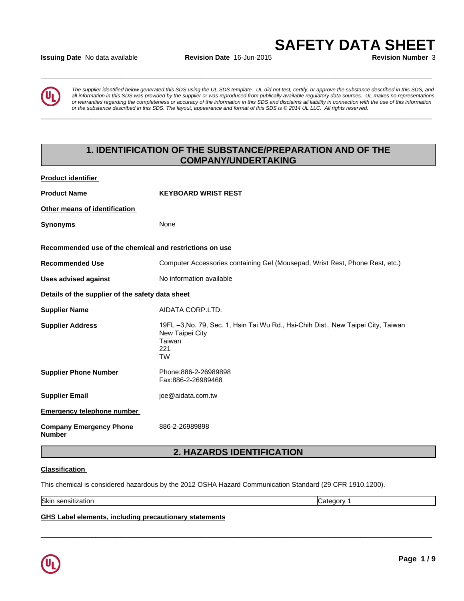### **Issuing Date** No data available **Revision Date** 16-Jun-2015 **Revision Number** 3



*The supplier identified below generated this SDS using the UL SDS template. UL did not test, certify, or approve the substance described in this SDS, and all information in this SDS was provided by the supplier or was reproduced from publically available regulatory data sources. UL makes no representations or warranties regarding the completeness or accuracy of the information in this SDS and disclaims all liability in connection with the use of this information* ate No data available<br>The supplier identified below generated this SDS using the UL SDS template. UL did not test, certify, or approve the substance described in this SDS, and<br>all information in this SDS was provided by th

**\_\_\_\_\_\_\_\_\_\_\_\_\_\_\_\_\_\_\_\_\_\_\_\_\_\_\_\_\_\_\_\_\_\_\_\_\_\_\_\_\_\_\_\_\_\_\_\_\_\_\_\_\_\_\_\_\_\_\_\_\_\_\_\_\_\_\_\_\_\_\_\_\_\_\_\_\_\_\_\_\_\_\_\_\_\_\_\_\_\_\_\_\_**

**\_\_\_\_\_\_\_\_\_\_\_\_\_\_\_\_\_\_\_\_\_\_\_\_\_\_\_\_\_\_\_\_\_\_\_\_\_\_\_\_\_\_\_\_\_\_\_\_\_\_\_\_\_\_\_\_\_\_\_\_\_\_\_\_\_\_\_\_\_\_\_\_\_\_\_\_\_\_\_\_\_\_\_\_\_\_\_\_\_\_\_\_\_**

## **1. IDENTIFICATION OF THE SUBSTANCE/PREPARATION AND OF THE COMPANY/UNDERTAKING**

| <b>Product identifier</b>                               |                                                                                                                                    |
|---------------------------------------------------------|------------------------------------------------------------------------------------------------------------------------------------|
| <b>Product Name</b>                                     | <b>KEYBOARD WRIST REST</b>                                                                                                         |
| Other means of identification                           |                                                                                                                                    |
| <b>Synonyms</b>                                         | None                                                                                                                               |
| Recommended use of the chemical and restrictions on use |                                                                                                                                    |
| <b>Recommended Use</b>                                  | Computer Accessories containing Gel (Mousepad, Wrist Rest, Phone Rest, etc.)                                                       |
| <b>Uses advised against</b>                             | No information available                                                                                                           |
| Details of the supplier of the safety data sheet        |                                                                                                                                    |
| <b>Supplier Name</b>                                    | AIDATA CORP.LTD.                                                                                                                   |
| <b>Supplier Address</b>                                 | 19FL -3, No. 79, Sec. 1, Hsin Tai Wu Rd., Hsi-Chih Dist., New Taipei City, Taiwan<br>New Taipei City<br>Taiwan<br>221<br><b>TW</b> |
| <b>Supplier Phone Number</b>                            | Phone:886-2-26989898<br>Fax:886-2-26989468                                                                                         |
| <b>Supplier Email</b>                                   | joe@aidata.com.tw                                                                                                                  |
| <b>Emergency telephone number</b>                       |                                                                                                                                    |
| <b>Company Emergency Phone</b><br><b>Number</b>         | 886-2-26989898                                                                                                                     |
|                                                         | 2 LIAZADDR IDENTIEICATION                                                                                                          |

## **2. HAZARDS IDENTIFICATION**

 $\overline{\phantom{a}}$  ,  $\overline{\phantom{a}}$  ,  $\overline{\phantom{a}}$  ,  $\overline{\phantom{a}}$  ,  $\overline{\phantom{a}}$  ,  $\overline{\phantom{a}}$  ,  $\overline{\phantom{a}}$  ,  $\overline{\phantom{a}}$  ,  $\overline{\phantom{a}}$  ,  $\overline{\phantom{a}}$  ,  $\overline{\phantom{a}}$  ,  $\overline{\phantom{a}}$  ,  $\overline{\phantom{a}}$  ,  $\overline{\phantom{a}}$  ,  $\overline{\phantom{a}}$  ,  $\overline{\phantom{a}}$ 

### **Classification**

This chemical is considered hazardous by the 2012 OSHA Hazard Communication Standard (29 CFR 1910.1200).

Skin sensitization **Category 1 Category 1** 

### **GHS Label elements, including precautionary statements**

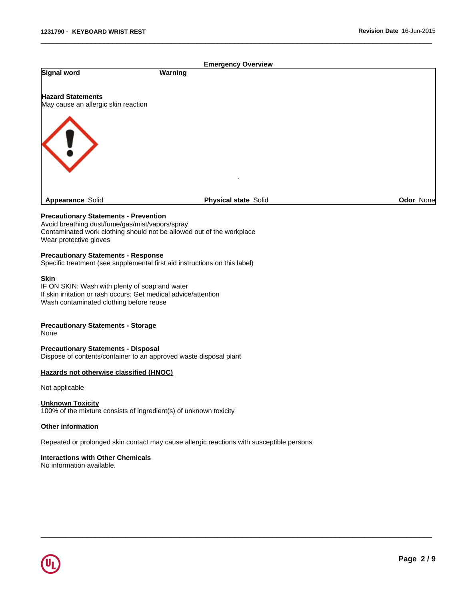| <b>Emergency Overview</b>                                                                       |         |                             |           |
|-------------------------------------------------------------------------------------------------|---------|-----------------------------|-----------|
| Signal word                                                                                     | Warning |                             |           |
| <b>Hazard Statements</b><br>May cause an allergic skin reaction                                 |         |                             |           |
| $\left\langle \, \right\rangle$                                                                 |         |                             |           |
| Appearance Solid                                                                                |         | <b>Physical state Solid</b> | Odor None |
| <b>Precautionary Statements - Prevention</b><br>Avoid breathing dust/fume/gas/mist/vapors/spray |         |                             |           |

 $\overline{\phantom{a}}$  ,  $\overline{\phantom{a}}$  ,  $\overline{\phantom{a}}$  ,  $\overline{\phantom{a}}$  ,  $\overline{\phantom{a}}$  ,  $\overline{\phantom{a}}$  ,  $\overline{\phantom{a}}$  ,  $\overline{\phantom{a}}$  ,  $\overline{\phantom{a}}$  ,  $\overline{\phantom{a}}$  ,  $\overline{\phantom{a}}$  ,  $\overline{\phantom{a}}$  ,  $\overline{\phantom{a}}$  ,  $\overline{\phantom{a}}$  ,  $\overline{\phantom{a}}$  ,  $\overline{\phantom{a}}$ 

 $\overline{\phantom{a}}$  ,  $\overline{\phantom{a}}$  ,  $\overline{\phantom{a}}$  ,  $\overline{\phantom{a}}$  ,  $\overline{\phantom{a}}$  ,  $\overline{\phantom{a}}$  ,  $\overline{\phantom{a}}$  ,  $\overline{\phantom{a}}$  ,  $\overline{\phantom{a}}$  ,  $\overline{\phantom{a}}$  ,  $\overline{\phantom{a}}$  ,  $\overline{\phantom{a}}$  ,  $\overline{\phantom{a}}$  ,  $\overline{\phantom{a}}$  ,  $\overline{\phantom{a}}$  ,  $\overline{\phantom{a}}$ 

### Contaminated work clothing should not be allowed out of the workplace

Wear protective gloves

### **Precautionary Statements - Response**

Specific treatment (see supplemental first aid instructions on this label)

### **Skin**

IF ON SKIN: Wash with plenty of soap and water If skin irritation or rash occurs: Get medical advice/attention Wash contaminated clothing before reuse

### **Precautionary Statements - Storage**

None

## **Precautionary Statements - Disposal**

Dispose of contents/container to an approved waste disposal plant

### **Hazards not otherwise classified (HNOC)**

Not applicable

### **Unknown Toxicity**

100% of the mixture consists of ingredient(s) of unknown toxicity

### **Other information**

Repeated or prolonged skin contact may cause allergic reactions with susceptible persons

### **Interactions with Other Chemicals**

No information available.

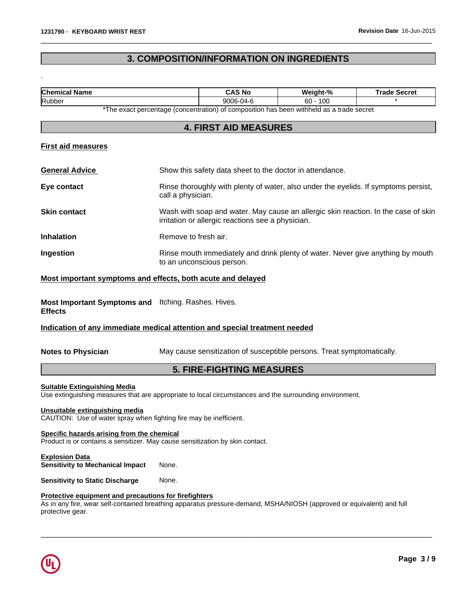.

## **3. COMPOSITION/INFORMATION ON INGREDIENTS**

 $\overline{\phantom{a}}$  ,  $\overline{\phantom{a}}$  ,  $\overline{\phantom{a}}$  ,  $\overline{\phantom{a}}$  ,  $\overline{\phantom{a}}$  ,  $\overline{\phantom{a}}$  ,  $\overline{\phantom{a}}$  ,  $\overline{\phantom{a}}$  ,  $\overline{\phantom{a}}$  ,  $\overline{\phantom{a}}$  ,  $\overline{\phantom{a}}$  ,  $\overline{\phantom{a}}$  ,  $\overline{\phantom{a}}$  ,  $\overline{\phantom{a}}$  ,  $\overline{\phantom{a}}$  ,  $\overline{\phantom{a}}$ 

| <b>Chemical Name</b>                                                                                                                                                                               |                                                                                                              | <b>CAS No</b>                                                                                                                           | Weight-%   | <b>Trade Secret</b>                                                                 |
|----------------------------------------------------------------------------------------------------------------------------------------------------------------------------------------------------|--------------------------------------------------------------------------------------------------------------|-----------------------------------------------------------------------------------------------------------------------------------------|------------|-------------------------------------------------------------------------------------|
| Rubber                                                                                                                                                                                             |                                                                                                              | 9006-04-6                                                                                                                               | $60 - 100$ |                                                                                     |
|                                                                                                                                                                                                    |                                                                                                              | *The exact percentage (concentration) of composition has been withheld as a trade secret                                                |            |                                                                                     |
|                                                                                                                                                                                                    |                                                                                                              | <b>4. FIRST AID MEASURES</b>                                                                                                            |            |                                                                                     |
| <b>First aid measures</b>                                                                                                                                                                          |                                                                                                              |                                                                                                                                         |            |                                                                                     |
| <b>General Advice</b>                                                                                                                                                                              |                                                                                                              | Show this safety data sheet to the doctor in attendance.                                                                                |            |                                                                                     |
| Eye contact                                                                                                                                                                                        | call a physician.                                                                                            |                                                                                                                                         |            | Rinse thoroughly with plenty of water, also under the eyelids. If symptoms persist, |
| <b>Skin contact</b>                                                                                                                                                                                |                                                                                                              | Wash with soap and water. May cause an allergic skin reaction. In the case of skin<br>irritation or allergic reactions see a physician. |            |                                                                                     |
| <b>Inhalation</b>                                                                                                                                                                                  | Remove to fresh air.                                                                                         |                                                                                                                                         |            |                                                                                     |
| Ingestion                                                                                                                                                                                          | Rinse mouth immediately and drink plenty of water. Never give anything by mouth<br>to an unconscious person. |                                                                                                                                         |            |                                                                                     |
| Most important symptoms and effects, both acute and delayed                                                                                                                                        |                                                                                                              |                                                                                                                                         |            |                                                                                     |
| Most Important Symptoms and Itching. Rashes. Hives.<br><b>Effects</b>                                                                                                                              |                                                                                                              |                                                                                                                                         |            |                                                                                     |
| Indication of any immediate medical attention and special treatment needed                                                                                                                         |                                                                                                              |                                                                                                                                         |            |                                                                                     |
| <b>Notes to Physician</b>                                                                                                                                                                          |                                                                                                              | May cause sensitization of susceptible persons. Treat symptomatically.                                                                  |            |                                                                                     |
|                                                                                                                                                                                                    |                                                                                                              | <b>5. FIRE-FIGHTING MEASURES</b>                                                                                                        |            |                                                                                     |
| <b>Suitable Extinguishing Media</b><br>Use extinguishing measures that are appropriate to local circumstances and the surrounding environment.                                                     |                                                                                                              |                                                                                                                                         |            |                                                                                     |
| Unsuitable extinguishing media<br>CAUTION: Use of water spray when fighting fire may be inefficient.                                                                                               |                                                                                                              |                                                                                                                                         |            |                                                                                     |
| Specific hazards arising from the chemical<br>Product is or contains a sensitizer. May cause sensitization by skin contact.                                                                        |                                                                                                              |                                                                                                                                         |            |                                                                                     |
| <b>Explosion Data</b><br><b>Sensitivity to Mechanical Impact</b>                                                                                                                                   | None.                                                                                                        |                                                                                                                                         |            |                                                                                     |
| <b>Sensitivity to Static Discharge</b>                                                                                                                                                             | None.                                                                                                        |                                                                                                                                         |            |                                                                                     |
| Protective equipment and precautions for firefighters<br>As in any fire, wear self-contained breathing apparatus pressure-demand, MSHA/NIOSH (approved or equivalent) and full<br>protective gear. |                                                                                                              |                                                                                                                                         |            |                                                                                     |

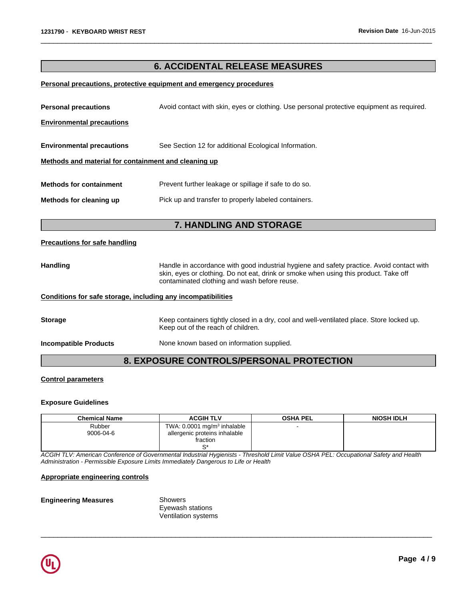## **6. ACCIDENTAL RELEASE MEASURES**

 $\overline{\phantom{a}}$  ,  $\overline{\phantom{a}}$  ,  $\overline{\phantom{a}}$  ,  $\overline{\phantom{a}}$  ,  $\overline{\phantom{a}}$  ,  $\overline{\phantom{a}}$  ,  $\overline{\phantom{a}}$  ,  $\overline{\phantom{a}}$  ,  $\overline{\phantom{a}}$  ,  $\overline{\phantom{a}}$  ,  $\overline{\phantom{a}}$  ,  $\overline{\phantom{a}}$  ,  $\overline{\phantom{a}}$  ,  $\overline{\phantom{a}}$  ,  $\overline{\phantom{a}}$  ,  $\overline{\phantom{a}}$ 

### **Personal precautions, protective equipment and emergency procedures**

| <b>Personal precautions</b>                                  | Avoid contact with skin, eyes or clothing. Use personal protective equipment as required.                                                                                                                                         |
|--------------------------------------------------------------|-----------------------------------------------------------------------------------------------------------------------------------------------------------------------------------------------------------------------------------|
| <b>Environmental precautions</b>                             |                                                                                                                                                                                                                                   |
|                                                              |                                                                                                                                                                                                                                   |
| <b>Environmental precautions</b>                             | See Section 12 for additional Ecological Information.                                                                                                                                                                             |
| Methods and material for containment and cleaning up         |                                                                                                                                                                                                                                   |
|                                                              |                                                                                                                                                                                                                                   |
| <b>Methods for containment</b>                               | Prevent further leakage or spillage if safe to do so.                                                                                                                                                                             |
| Methods for cleaning up                                      | Pick up and transfer to properly labeled containers.                                                                                                                                                                              |
|                                                              |                                                                                                                                                                                                                                   |
|                                                              | <b>7. HANDLING AND STORAGE</b>                                                                                                                                                                                                    |
| <b>Precautions for safe handling</b>                         |                                                                                                                                                                                                                                   |
|                                                              |                                                                                                                                                                                                                                   |
| <b>Handling</b>                                              | Handle in accordance with good industrial hygiene and safety practice. Avoid contact with<br>skin, eyes or clothing. Do not eat, drink or smoke when using this product. Take off<br>contaminated clothing and wash before reuse. |
| Conditions for safe storage, including any incompatibilities |                                                                                                                                                                                                                                   |
| <b>Storage</b>                                               | Keep containers tightly closed in a dry, cool and well-ventilated place. Store locked up.<br>Keep out of the reach of children.                                                                                                   |
| <b>Incompatible Products</b>                                 | None known based on information supplied.                                                                                                                                                                                         |
|                                                              | <b>8. EXPOSURE CONTROLS/PERSONAL PROTECTION</b>                                                                                                                                                                                   |

### **Control parameters**

### **Exposure Guidelines**

| <b>Chemical Name</b> | <b>ACGIH TLV</b>                          | <b>OSHA PEL</b> | <b>NIOSH IDLH</b> |
|----------------------|-------------------------------------------|-----------------|-------------------|
| Rubber               | TWA: $0.0001$ mg/m <sup>3</sup> inhalable | -               |                   |
| 9006-04-6            | allergenic proteins inhalable             |                 |                   |
|                      | fraction                                  |                 |                   |
|                      |                                           |                 |                   |

 $\overline{\phantom{a}}$  ,  $\overline{\phantom{a}}$  ,  $\overline{\phantom{a}}$  ,  $\overline{\phantom{a}}$  ,  $\overline{\phantom{a}}$  ,  $\overline{\phantom{a}}$  ,  $\overline{\phantom{a}}$  ,  $\overline{\phantom{a}}$  ,  $\overline{\phantom{a}}$  ,  $\overline{\phantom{a}}$  ,  $\overline{\phantom{a}}$  ,  $\overline{\phantom{a}}$  ,  $\overline{\phantom{a}}$  ,  $\overline{\phantom{a}}$  ,  $\overline{\phantom{a}}$  ,  $\overline{\phantom{a}}$ 

*ACGIH TLV: American Conference of Governmental Industrial Hygienists - Threshold Limit Value OSHA PEL: Occupational Safety and Health Administration - Permissible Exposure Limits Immediately Dangerous to Life or Health*

### **Appropriate engineering controls**

### **Engineering Measures** Showers

Eyewash stations Ventilation systems

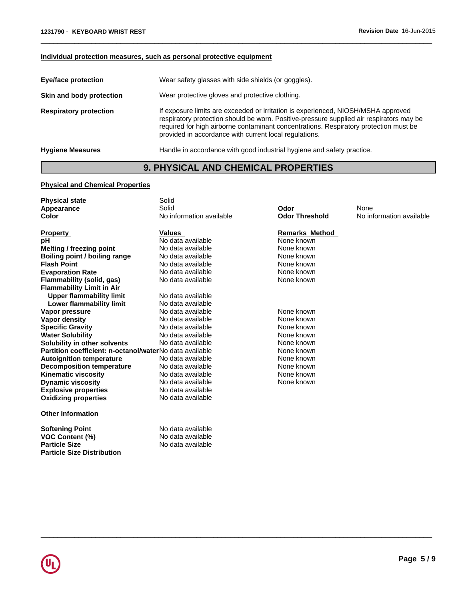### **Individual protection measures, such as personal protective equipment**

| <b>Eye/face protection</b>    | Wear safety glasses with side shields (or goggles).                                                                                                                                                                                                                                                                              |
|-------------------------------|----------------------------------------------------------------------------------------------------------------------------------------------------------------------------------------------------------------------------------------------------------------------------------------------------------------------------------|
| Skin and body protection      | Wear protective gloves and protective clothing.                                                                                                                                                                                                                                                                                  |
| <b>Respiratory protection</b> | If exposure limits are exceeded or irritation is experienced, NIOSH/MSHA approved<br>respiratory protection should be worn. Positive-pressure supplied air respirators may be<br>required for high airborne contaminant concentrations. Respiratory protection must be<br>provided in accordance with current local regulations. |
| <b>Hygiene Measures</b>       | Handle in accordance with good industrial hygiene and safety practice.                                                                                                                                                                                                                                                           |

 $\overline{\phantom{a}}$  ,  $\overline{\phantom{a}}$  ,  $\overline{\phantom{a}}$  ,  $\overline{\phantom{a}}$  ,  $\overline{\phantom{a}}$  ,  $\overline{\phantom{a}}$  ,  $\overline{\phantom{a}}$  ,  $\overline{\phantom{a}}$  ,  $\overline{\phantom{a}}$  ,  $\overline{\phantom{a}}$  ,  $\overline{\phantom{a}}$  ,  $\overline{\phantom{a}}$  ,  $\overline{\phantom{a}}$  ,  $\overline{\phantom{a}}$  ,  $\overline{\phantom{a}}$  ,  $\overline{\phantom{a}}$ 

## **9. PHYSICAL AND CHEMICAL PROPERTIES**

### **Physical and Chemical Properties**

| <b>Physical state</b>                                   | Solid                    |                       |                          |
|---------------------------------------------------------|--------------------------|-----------------------|--------------------------|
| Appearance                                              | Solid                    | Odor                  | None                     |
| Color                                                   | No information available | <b>Odor Threshold</b> | No information available |
|                                                         | <b>Values</b>            | <b>Remarks Method</b> |                          |
| <b>Property</b>                                         | No data available        | None known            |                          |
| рH                                                      |                          |                       |                          |
| Melting / freezing point                                | No data available        | None known            |                          |
| Boiling point / boiling range                           | No data available        | None known            |                          |
| <b>Flash Point</b>                                      | No data available        | None known            |                          |
| <b>Evaporation Rate</b>                                 | No data available        | None known            |                          |
| Flammability (solid, gas)                               | No data available        | None known            |                          |
| <b>Flammability Limit in Air</b>                        |                          |                       |                          |
| <b>Upper flammability limit</b>                         | No data available        |                       |                          |
| Lower flammability limit                                | No data available        |                       |                          |
| Vapor pressure                                          | No data available        | None known            |                          |
| Vapor density                                           | No data available        | None known            |                          |
| <b>Specific Gravity</b>                                 | No data available        | None known            |                          |
| <b>Water Solubility</b>                                 | No data available        | None known            |                          |
| Solubility in other solvents                            | No data available        | None known            |                          |
| Partition coefficient: n-octanol/waterNo data available |                          | None known            |                          |
| <b>Autoignition temperature</b>                         | No data available        | None known            |                          |
| <b>Decomposition temperature</b>                        | No data available        | None known            |                          |
| <b>Kinematic viscosity</b>                              | No data available        | None known            |                          |
| <b>Dynamic viscosity</b>                                | No data available        | None known            |                          |
| <b>Explosive properties</b>                             | No data available        |                       |                          |
| <b>Oxidizing properties</b>                             | No data available        |                       |                          |
|                                                         |                          |                       |                          |
| <b>Other Information</b>                                |                          |                       |                          |
| <b>Softening Point</b>                                  | No data available        |                       |                          |
| <b>VOC Content (%)</b>                                  | No data available        |                       |                          |
| <b>Particle Size</b>                                    | No data available        |                       |                          |
|                                                         |                          |                       |                          |
| <b>Particle Size Distribution</b>                       |                          |                       |                          |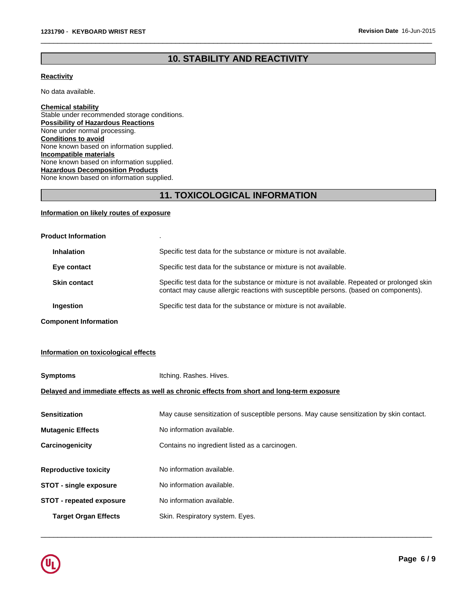## **10. STABILITY AND REACTIVITY**

 $\overline{\phantom{a}}$  ,  $\overline{\phantom{a}}$  ,  $\overline{\phantom{a}}$  ,  $\overline{\phantom{a}}$  ,  $\overline{\phantom{a}}$  ,  $\overline{\phantom{a}}$  ,  $\overline{\phantom{a}}$  ,  $\overline{\phantom{a}}$  ,  $\overline{\phantom{a}}$  ,  $\overline{\phantom{a}}$  ,  $\overline{\phantom{a}}$  ,  $\overline{\phantom{a}}$  ,  $\overline{\phantom{a}}$  ,  $\overline{\phantom{a}}$  ,  $\overline{\phantom{a}}$  ,  $\overline{\phantom{a}}$ 

### **Reactivity**

No data available.

**Chemical stability** Stable under recommended storage conditions. **Possibility of Hazardous Reactions** None under normal processing. **Conditions to avoid** None known based on information supplied. **Incompatible materials** None known based on information supplied. **Hazardous Decomposition Products** None known based on information supplied.

## **11. TOXICOLOGICAL INFORMATION**

### **Information on likely routes of exposure**

| <b>Product Information</b>   |                                                                                                                                                                                       |
|------------------------------|---------------------------------------------------------------------------------------------------------------------------------------------------------------------------------------|
| <b>Inhalation</b>            | Specific test data for the substance or mixture is not available.                                                                                                                     |
| Eye contact                  | Specific test data for the substance or mixture is not available.                                                                                                                     |
| <b>Skin contact</b>          | Specific test data for the substance or mixture is not available. Repeated or prolonged skin<br>contact may cause allergic reactions with susceptible persons. (based on components). |
| Ingestion                    | Specific test data for the substance or mixture is not available.                                                                                                                     |
| <b>Component Information</b> |                                                                                                                                                                                       |

# **Information on toxicological effects**

| <b>Symptoms</b>                                                                            | Itching. Rashes. Hives.                                                                  |  |  |
|--------------------------------------------------------------------------------------------|------------------------------------------------------------------------------------------|--|--|
| Delayed and immediate effects as well as chronic effects from short and long-term exposure |                                                                                          |  |  |
| <b>Sensitization</b>                                                                       | May cause sensitization of susceptible persons. May cause sensitization by skin contact. |  |  |
| <b>Mutagenic Effects</b>                                                                   | No information available.                                                                |  |  |
| Carcinogenicity                                                                            | Contains no ingredient listed as a carcinogen.                                           |  |  |
| <b>Reproductive toxicity</b>                                                               | No information available.                                                                |  |  |
| <b>STOT - single exposure</b>                                                              | No information available.                                                                |  |  |
| <b>STOT - repeated exposure</b>                                                            | No information available.                                                                |  |  |
| <b>Target Organ Effects</b>                                                                | Skin. Respiratory system. Eyes.                                                          |  |  |

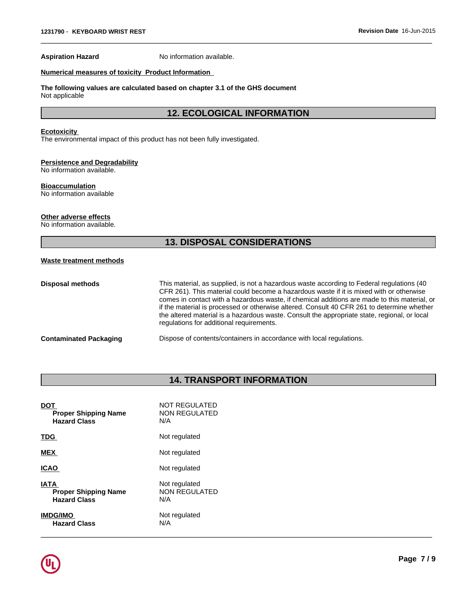**Aspiration Hazard** No information available.

### **Numerical measures of toxicity Product Information**

### **The following values are calculated based on chapter 3.1 of the GHS document** Not applicable

### **12. ECOLOGICAL INFORMATION**

 $\overline{\phantom{a}}$  ,  $\overline{\phantom{a}}$  ,  $\overline{\phantom{a}}$  ,  $\overline{\phantom{a}}$  ,  $\overline{\phantom{a}}$  ,  $\overline{\phantom{a}}$  ,  $\overline{\phantom{a}}$  ,  $\overline{\phantom{a}}$  ,  $\overline{\phantom{a}}$  ,  $\overline{\phantom{a}}$  ,  $\overline{\phantom{a}}$  ,  $\overline{\phantom{a}}$  ,  $\overline{\phantom{a}}$  ,  $\overline{\phantom{a}}$  ,  $\overline{\phantom{a}}$  ,  $\overline{\phantom{a}}$ 

### **Ecotoxicity**

The environmental impact of this product has not been fully investigated.

### **Persistence and Degradability**

No information available.

### **Bioaccumulation**

No information available

### **Other adverse effects**

No information available.

## **13. DISPOSAL CONSIDERATIONS**

### **Waste treatment methods**

| Disposal methods       | This material, as supplied, is not a hazardous waste according to Federal regulations (40<br>CFR 261). This material could become a hazardous waste if it is mixed with or otherwise<br>comes in contact with a hazardous waste, if chemical additions are made to this material, or<br>if the material is processed or otherwise altered. Consult 40 CFR 261 to determine whether<br>the altered material is a hazardous waste. Consult the appropriate state, regional, or local<br>regulations for additional requirements. |
|------------------------|--------------------------------------------------------------------------------------------------------------------------------------------------------------------------------------------------------------------------------------------------------------------------------------------------------------------------------------------------------------------------------------------------------------------------------------------------------------------------------------------------------------------------------|
| Contaminated Packaging | Dispose of contents/containers in accordance with local regulations.                                                                                                                                                                                                                                                                                                                                                                                                                                                           |

## **14. TRANSPORT INFORMATION**

| <b>DOT</b>                  | <b>NOT REGULATED</b> |
|-----------------------------|----------------------|
| <b>Proper Shipping Name</b> | NON REGULATED        |
| <b>Hazard Class</b>         | N/A                  |
| <b>TDG</b>                  | Not regulated        |
| <b>MEX</b>                  | Not regulated        |
| <b>ICAO</b>                 | Not regulated        |
| <b>IATA</b>                 | Not regulated        |
| <b>Proper Shipping Name</b> | <b>NON REGULATED</b> |
| <b>Hazard Class</b>         | N/A                  |
| <b>IMDG/IMO</b>             | Not regulated        |
| <b>Hazard Class</b>         | N/A                  |

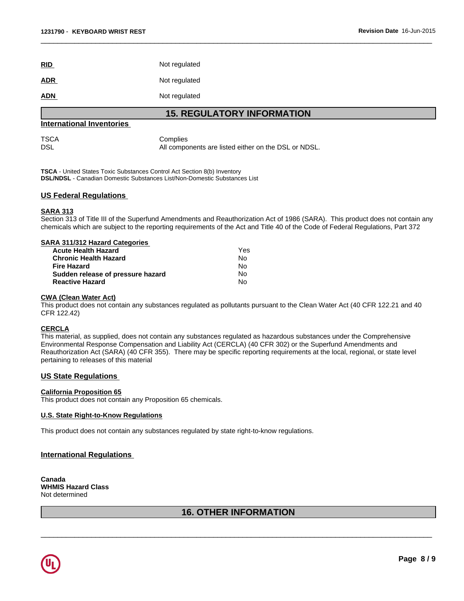| RID        | Not regulated |
|------------|---------------|
| <b>ADR</b> | Not regulated |
| <b>ADN</b> | Not regulated |

### **15. REGULATORY INFORMATION**

 $\overline{\phantom{a}}$  ,  $\overline{\phantom{a}}$  ,  $\overline{\phantom{a}}$  ,  $\overline{\phantom{a}}$  ,  $\overline{\phantom{a}}$  ,  $\overline{\phantom{a}}$  ,  $\overline{\phantom{a}}$  ,  $\overline{\phantom{a}}$  ,  $\overline{\phantom{a}}$  ,  $\overline{\phantom{a}}$  ,  $\overline{\phantom{a}}$  ,  $\overline{\phantom{a}}$  ,  $\overline{\phantom{a}}$  ,  $\overline{\phantom{a}}$  ,  $\overline{\phantom{a}}$  ,  $\overline{\phantom{a}}$ 

### **International Inventories**

TSCA Complies<br>DSL Management Complies All components are listed either on the DSL or NDSL.

**TSCA** - United States Toxic Substances Control Act Section 8(b) Inventory **DSL/NDSL** - Canadian Domestic Substances List/Non-Domestic Substances List

### **US Federal Regulations**

### **SARA 313**

Section 313 of Title III of the Superfund Amendments and Reauthorization Act of 1986 (SARA). This product does not contain any chemicals which are subject to the reporting requirements of the Act and Title 40 of the Code of Federal Regulations, Part 372

|  | <b>SARA 311/312 Hazard Categories</b> |  |  |
|--|---------------------------------------|--|--|
|  |                                       |  |  |

| <b>Acute Health Hazard</b>        | Yes |  |
|-----------------------------------|-----|--|
| <b>Chronic Health Hazard</b>      | N٥  |  |
| <b>Fire Hazard</b>                | No. |  |
| Sudden release of pressure hazard | No  |  |
| <b>Reactive Hazard</b>            | N٥  |  |

### **CWA (Clean Water Act)**

This product does not contain any substances regulated as pollutants pursuant to the Clean Water Act (40 CFR 122.21 and 40 CFR 122.42)

### **CERCLA**

This material, as supplied, does not contain any substances regulated as hazardous substances under the Comprehensive Environmental Response Compensation and Liability Act (CERCLA) (40 CFR 302) or the Superfund Amendments and Reauthorization Act (SARA) (40 CFR 355). There may be specific reporting requirements at the local, regional, or state level pertaining to releases of this material

### **US State Regulations**

### **California Proposition 65**

This product does not contain any Proposition 65 chemicals.

### **U.S. State Right-to-Know Regulations**

This product does not contain any substances regulated by state right-to-know regulations.

### **International Regulations**

**Canada WHMIS Hazard Class** Not determined

### **16. OTHER INFORMATION**